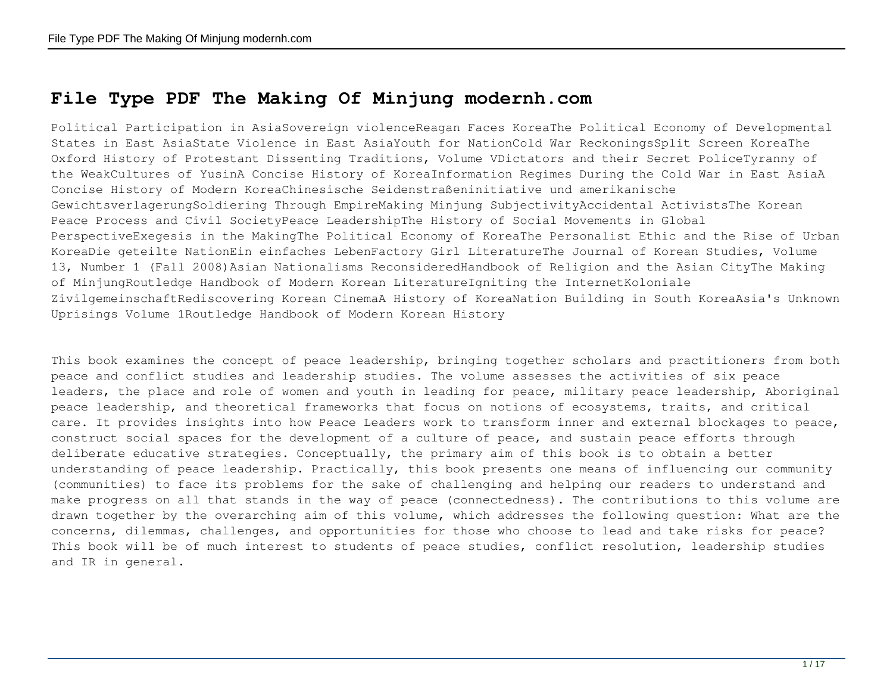## **File Type PDF The Making Of Minjung modernh.com**

Political Participation in AsiaSovereign violenceReagan Faces KoreaThe Political Economy of Developmental States in East AsiaState Violence in East AsiaYouth for NationCold War ReckoningsSplit Screen KoreaThe Oxford History of Protestant Dissenting Traditions, Volume VDictators and their Secret PoliceTyranny of the WeakCultures of YusinA Concise History of KoreaInformation Regimes During the Cold War in East AsiaA Concise History of Modern KoreaChinesische Seidenstraßeninitiative und amerikanische GewichtsverlagerungSoldiering Through EmpireMaking Minjung SubjectivityAccidental ActivistsThe Korean Peace Process and Civil SocietyPeace LeadershipThe History of Social Movements in Global PerspectiveExegesis in the MakingThe Political Economy of KoreaThe Personalist Ethic and the Rise of Urban KoreaDie geteilte NationEin einfaches LebenFactory Girl LiteratureThe Journal of Korean Studies, Volume 13, Number 1 (Fall 2008)Asian Nationalisms ReconsideredHandbook of Religion and the Asian CityThe Making of MinjungRoutledge Handbook of Modern Korean LiteratureIgniting the InternetKoloniale ZivilgemeinschaftRediscovering Korean CinemaA History of KoreaNation Building in South KoreaAsia's Unknown Uprisings Volume 1Routledge Handbook of Modern Korean History

This book examines the concept of peace leadership, bringing together scholars and practitioners from both peace and conflict studies and leadership studies. The volume assesses the activities of six peace leaders, the place and role of women and youth in leading for peace, military peace leadership, Aboriginal peace leadership, and theoretical frameworks that focus on notions of ecosystems, traits, and critical care. It provides insights into how Peace Leaders work to transform inner and external blockages to peace, construct social spaces for the development of a culture of peace, and sustain peace efforts through deliberate educative strategies. Conceptually, the primary aim of this book is to obtain a better understanding of peace leadership. Practically, this book presents one means of influencing our community (communities) to face its problems for the sake of challenging and helping our readers to understand and make progress on all that stands in the way of peace (connectedness). The contributions to this volume are drawn together by the overarching aim of this volume, which addresses the following question: What are the concerns, dilemmas, challenges, and opportunities for those who choose to lead and take risks for peace? This book will be of much interest to students of peace studies, conflict resolution, leadership studies and IR in general.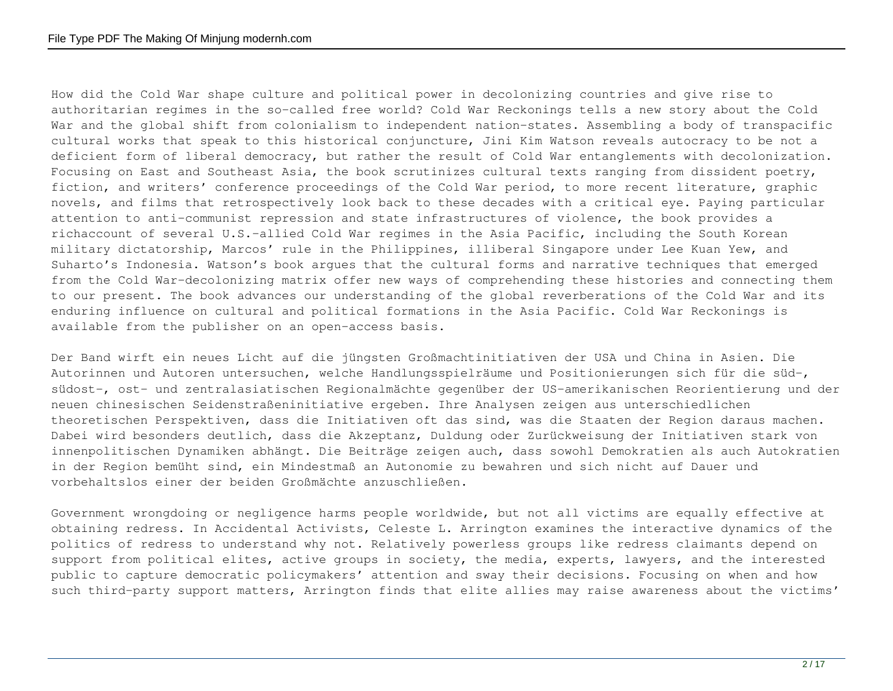How did the Cold War shape culture and political power in decolonizing countries and give rise to authoritarian regimes in the so-called free world? Cold War Reckonings tells a new story about the Cold War and the global shift from colonialism to independent nation-states. Assembling a body of transpacific cultural works that speak to this historical conjuncture, Jini Kim Watson reveals autocracy to be not a deficient form of liberal democracy, but rather the result of Cold War entanglements with decolonization. Focusing on East and Southeast Asia, the book scrutinizes cultural texts ranging from dissident poetry, fiction, and writers' conference proceedings of the Cold War period, to more recent literature, graphic novels, and films that retrospectively look back to these decades with a critical eye. Paying particular attention to anti-communist repression and state infrastructures of violence, the book provides a richaccount of several U.S.–allied Cold War regimes in the Asia Pacific, including the South Korean military dictatorship, Marcos' rule in the Philippines, illiberal Singapore under Lee Kuan Yew, and Suharto's Indonesia. Watson's book argues that the cultural forms and narrative techniques that emerged from the Cold War-decolonizing matrix offer new ways of comprehending these histories and connecting them to our present. The book advances our understanding of the global reverberations of the Cold War and its enduring influence on cultural and political formations in the Asia Pacific. Cold War Reckonings is available from the publisher on an open-access basis.

Der Band wirft ein neues Licht auf die jüngsten Großmachtinitiativen der USA und China in Asien. Die Autorinnen und Autoren untersuchen, welche Handlungsspielräume und Positionierungen sich für die süd-, südost-, ost- und zentralasiatischen Regionalmächte gegenüber der US-amerikanischen Reorientierung und der neuen chinesischen Seidenstraßeninitiative ergeben. Ihre Analysen zeigen aus unterschiedlichen theoretischen Perspektiven, dass die Initiativen oft das sind, was die Staaten der Region daraus machen. Dabei wird besonders deutlich, dass die Akzeptanz, Duldung oder Zurückweisung der Initiativen stark von innenpolitischen Dynamiken abhängt. Die Beiträge zeigen auch, dass sowohl Demokratien als auch Autokratien in der Region bemüht sind, ein Mindestmaß an Autonomie zu bewahren und sich nicht auf Dauer und vorbehaltslos einer der beiden Großmächte anzuschließen.

Government wrongdoing or negligence harms people worldwide, but not all victims are equally effective at obtaining redress. In Accidental Activists, Celeste L. Arrington examines the interactive dynamics of the politics of redress to understand why not. Relatively powerless groups like redress claimants depend on support from political elites, active groups in society, the media, experts, lawyers, and the interested public to capture democratic policymakers' attention and sway their decisions. Focusing on when and how such third-party support matters, Arrington finds that elite allies may raise awareness about the victims'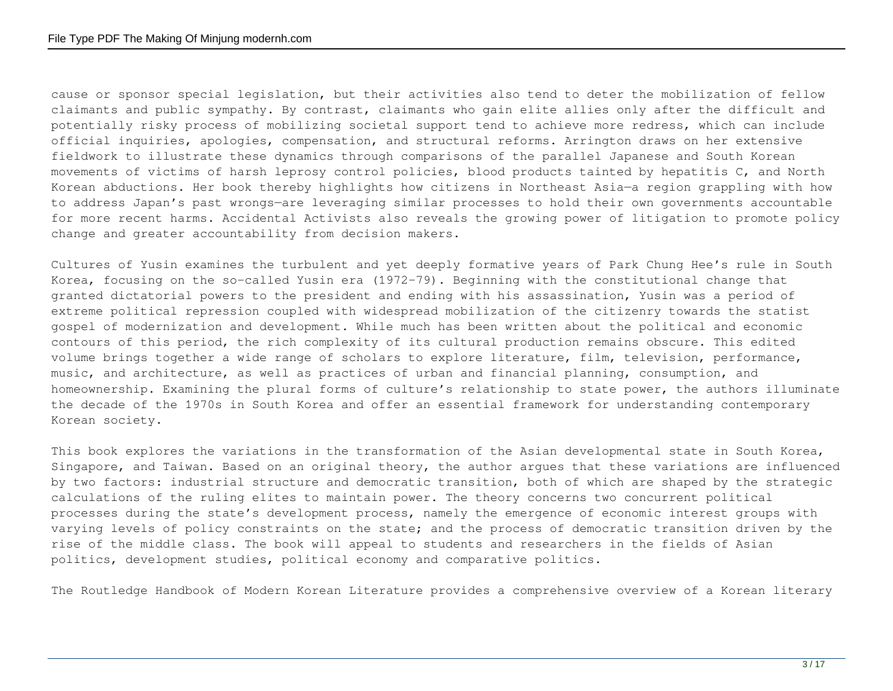cause or sponsor special legislation, but their activities also tend to deter the mobilization of fellow claimants and public sympathy. By contrast, claimants who gain elite allies only after the difficult and potentially risky process of mobilizing societal support tend to achieve more redress, which can include official inquiries, apologies, compensation, and structural reforms. Arrington draws on her extensive fieldwork to illustrate these dynamics through comparisons of the parallel Japanese and South Korean movements of victims of harsh leprosy control policies, blood products tainted by hepatitis C, and North Korean abductions. Her book thereby highlights how citizens in Northeast Asia—a region grappling with how to address Japan's past wrongs—are leveraging similar processes to hold their own governments accountable for more recent harms. Accidental Activists also reveals the growing power of litigation to promote policy change and greater accountability from decision makers.

Cultures of Yusin examines the turbulent and yet deeply formative years of Park Chung Hee's rule in South Korea, focusing on the so-called Yusin era (1972–79). Beginning with the constitutional change that granted dictatorial powers to the president and ending with his assassination, Yusin was a period of extreme political repression coupled with widespread mobilization of the citizenry towards the statist gospel of modernization and development. While much has been written about the political and economic contours of this period, the rich complexity of its cultural production remains obscure. This edited volume brings together a wide range of scholars to explore literature, film, television, performance, music, and architecture, as well as practices of urban and financial planning, consumption, and homeownership. Examining the plural forms of culture's relationship to state power, the authors illuminate the decade of the 1970s in South Korea and offer an essential framework for understanding contemporary Korean society.

This book explores the variations in the transformation of the Asian developmental state in South Korea, Singapore, and Taiwan. Based on an original theory, the author argues that these variations are influenced by two factors: industrial structure and democratic transition, both of which are shaped by the strategic calculations of the ruling elites to maintain power. The theory concerns two concurrent political processes during the state's development process, namely the emergence of economic interest groups with varying levels of policy constraints on the state; and the process of democratic transition driven by the rise of the middle class. The book will appeal to students and researchers in the fields of Asian politics, development studies, political economy and comparative politics.

The Routledge Handbook of Modern Korean Literature provides a comprehensive overview of a Korean literary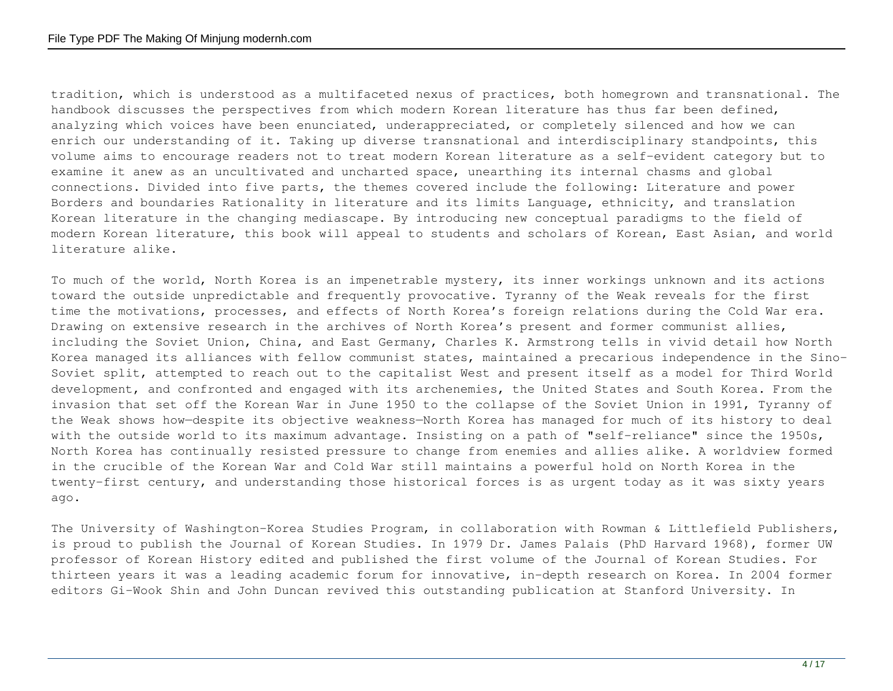tradition, which is understood as a multifaceted nexus of practices, both homegrown and transnational. The handbook discusses the perspectives from which modern Korean literature has thus far been defined, analyzing which voices have been enunciated, underappreciated, or completely silenced and how we can enrich our understanding of it. Taking up diverse transnational and interdisciplinary standpoints, this volume aims to encourage readers not to treat modern Korean literature as a self-evident category but to examine it anew as an uncultivated and uncharted space, unearthing its internal chasms and global connections. Divided into five parts, the themes covered include the following: Literature and power Borders and boundaries Rationality in literature and its limits Language, ethnicity, and translation Korean literature in the changing mediascape. By introducing new conceptual paradigms to the field of modern Korean literature, this book will appeal to students and scholars of Korean, East Asian, and world literature alike.

To much of the world, North Korea is an impenetrable mystery, its inner workings unknown and its actions toward the outside unpredictable and frequently provocative. Tyranny of the Weak reveals for the first time the motivations, processes, and effects of North Korea's foreign relations during the Cold War era. Drawing on extensive research in the archives of North Korea's present and former communist allies, including the Soviet Union, China, and East Germany, Charles K. Armstrong tells in vivid detail how North Korea managed its alliances with fellow communist states, maintained a precarious independence in the Sino-Soviet split, attempted to reach out to the capitalist West and present itself as a model for Third World development, and confronted and engaged with its archenemies, the United States and South Korea. From the invasion that set off the Korean War in June 1950 to the collapse of the Soviet Union in 1991, Tyranny of the Weak shows how—despite its objective weakness—North Korea has managed for much of its history to deal with the outside world to its maximum advantage. Insisting on a path of "self-reliance" since the 1950s, North Korea has continually resisted pressure to change from enemies and allies alike. A worldview formed in the crucible of the Korean War and Cold War still maintains a powerful hold on North Korea in the twenty-first century, and understanding those historical forces is as urgent today as it was sixty years ago.

The University of Washington-Korea Studies Program, in collaboration with Rowman & Littlefield Publishers, is proud to publish the Journal of Korean Studies. In 1979 Dr. James Palais (PhD Harvard 1968), former UW professor of Korean History edited and published the first volume of the Journal of Korean Studies. For thirteen years it was a leading academic forum for innovative, in-depth research on Korea. In 2004 former editors Gi-Wook Shin and John Duncan revived this outstanding publication at Stanford University. In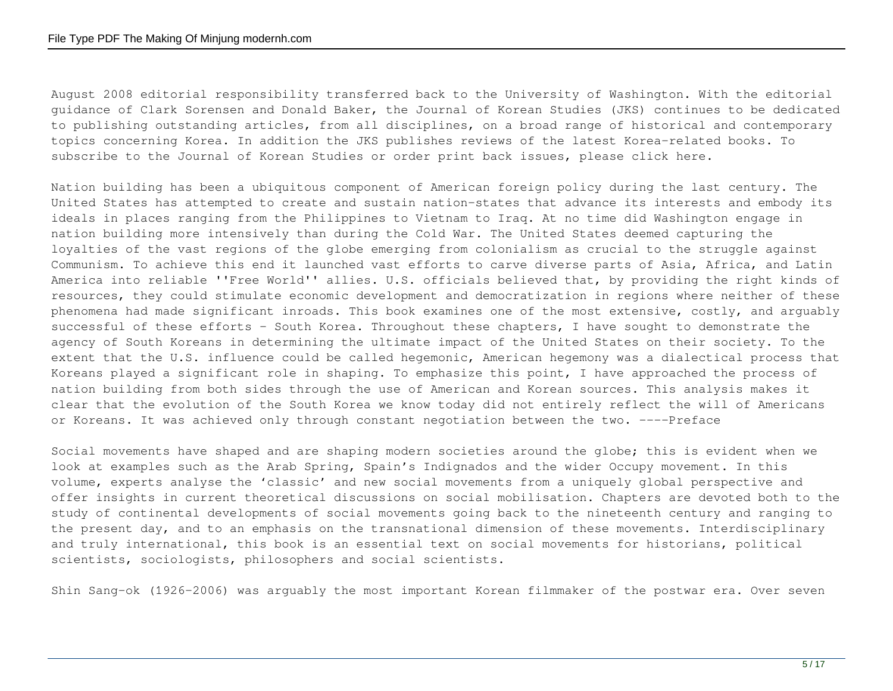August 2008 editorial responsibility transferred back to the University of Washington. With the editorial guidance of Clark Sorensen and Donald Baker, the Journal of Korean Studies (JKS) continues to be dedicated to publishing outstanding articles, from all disciplines, on a broad range of historical and contemporary topics concerning Korea. In addition the JKS publishes reviews of the latest Korea-related books. To subscribe to the Journal of Korean Studies or order print back issues, please click here.

Nation building has been a ubiquitous component of American foreign policy during the last century. The United States has attempted to create and sustain nation-states that advance its interests and embody its ideals in places ranging from the Philippines to Vietnam to Iraq. At no time did Washington engage in nation building more intensively than during the Cold War. The United States deemed capturing the loyalties of the vast regions of the globe emerging from colonialism as crucial to the struggle against Communism. To achieve this end it launched vast efforts to carve diverse parts of Asia, Africa, and Latin America into reliable ''Free World'' allies. U.S. officials believed that, by providing the right kinds of resources, they could stimulate economic development and democratization in regions where neither of these phenomena had made significant inroads. This book examines one of the most extensive, costly, and arguably successful of these efforts - South Korea. Throughout these chapters, I have sought to demonstrate the agency of South Koreans in determining the ultimate impact of the United States on their society. To the extent that the U.S. influence could be called hegemonic, American hegemony was a dialectical process that Koreans played a significant role in shaping. To emphasize this point, I have approached the process of nation building from both sides through the use of American and Korean sources. This analysis makes it clear that the evolution of the South Korea we know today did not entirely reflect the will of Americans or Koreans. It was achieved only through constant negotiation between the two. ----Preface

Social movements have shaped and are shaping modern societies around the globe; this is evident when we look at examples such as the Arab Spring, Spain's Indignados and the wider Occupy movement. In this volume, experts analyse the 'classic' and new social movements from a uniquely global perspective and offer insights in current theoretical discussions on social mobilisation. Chapters are devoted both to the study of continental developments of social movements going back to the nineteenth century and ranging to the present day, and to an emphasis on the transnational dimension of these movements. Interdisciplinary and truly international, this book is an essential text on social movements for historians, political scientists, sociologists, philosophers and social scientists.

Shin Sang-ok (1926–2006) was arguably the most important Korean filmmaker of the postwar era. Over seven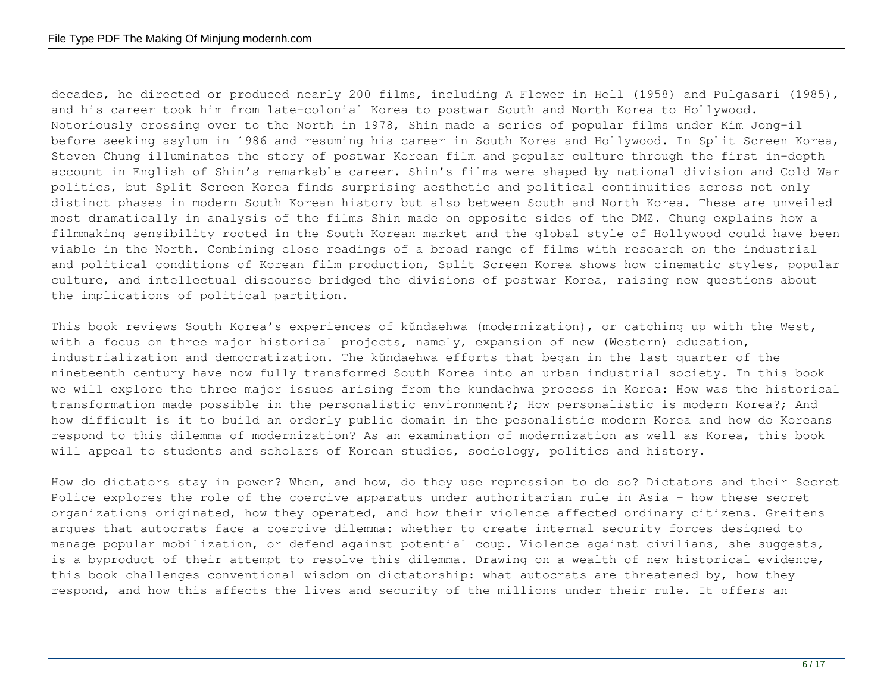decades, he directed or produced nearly 200 films, including A Flower in Hell (1958) and Pulgasari (1985), and his career took him from late-colonial Korea to postwar South and North Korea to Hollywood. Notoriously crossing over to the North in 1978, Shin made a series of popular films under Kim Jong-il before seeking asylum in 1986 and resuming his career in South Korea and Hollywood. In Split Screen Korea, Steven Chung illuminates the story of postwar Korean film and popular culture through the first in-depth account in English of Shin's remarkable career. Shin's films were shaped by national division and Cold War politics, but Split Screen Korea finds surprising aesthetic and political continuities across not only distinct phases in modern South Korean history but also between South and North Korea. These are unveiled most dramatically in analysis of the films Shin made on opposite sides of the DMZ. Chung explains how a filmmaking sensibility rooted in the South Korean market and the global style of Hollywood could have been viable in the North. Combining close readings of a broad range of films with research on the industrial and political conditions of Korean film production, Split Screen Korea shows how cinematic styles, popular culture, and intellectual discourse bridged the divisions of postwar Korea, raising new questions about the implications of political partition.

This book reviews South Korea's experiences of kŭndaehwa (modernization), or catching up with the West, with a focus on three major historical projects, namely, expansion of new (Western) education, industrialization and democratization. The kŭndaehwa efforts that began in the last quarter of the nineteenth century have now fully transformed South Korea into an urban industrial society. In this book we will explore the three major issues arising from the kundaehwa process in Korea: How was the historical transformation made possible in the personalistic environment?; How personalistic is modern Korea?; And how difficult is it to build an orderly public domain in the pesonalistic modern Korea and how do Koreans respond to this dilemma of modernization? As an examination of modernization as well as Korea, this book will appeal to students and scholars of Korean studies, sociology, politics and history.

How do dictators stay in power? When, and how, do they use repression to do so? Dictators and their Secret Police explores the role of the coercive apparatus under authoritarian rule in Asia - how these secret organizations originated, how they operated, and how their violence affected ordinary citizens. Greitens argues that autocrats face a coercive dilemma: whether to create internal security forces designed to manage popular mobilization, or defend against potential coup. Violence against civilians, she suggests, is a byproduct of their attempt to resolve this dilemma. Drawing on a wealth of new historical evidence, this book challenges conventional wisdom on dictatorship: what autocrats are threatened by, how they respond, and how this affects the lives and security of the millions under their rule. It offers an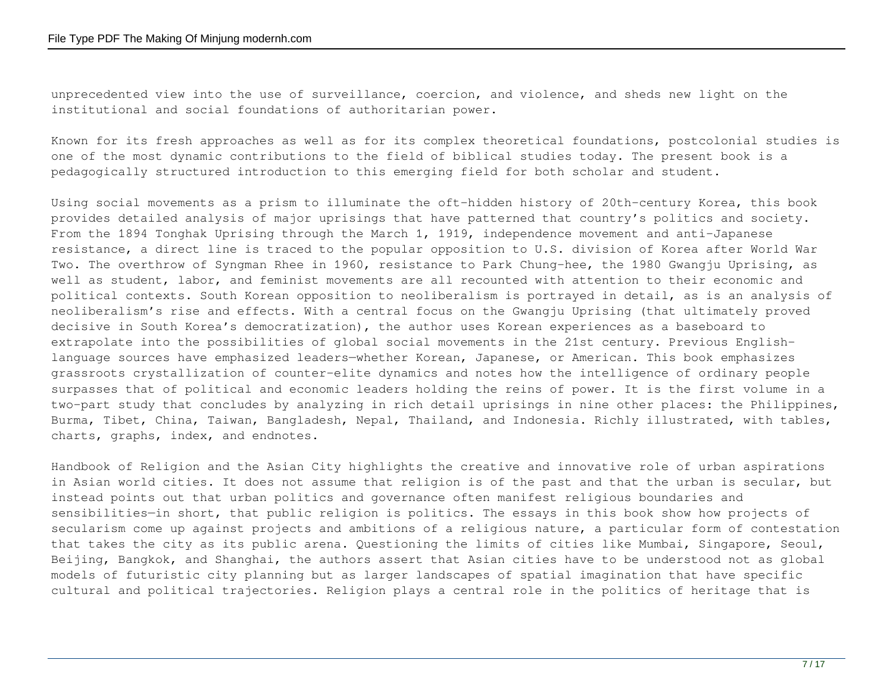unprecedented view into the use of surveillance, coercion, and violence, and sheds new light on the institutional and social foundations of authoritarian power.

Known for its fresh approaches as well as for its complex theoretical foundations, postcolonial studies is one of the most dynamic contributions to the field of biblical studies today. The present book is a pedagogically structured introduction to this emerging field for both scholar and student.

Using social movements as a prism to illuminate the oft-hidden history of 20th-century Korea, this book provides detailed analysis of major uprisings that have patterned that country's politics and society. From the 1894 Tonghak Uprising through the March 1, 1919, independence movement and anti-Japanese resistance, a direct line is traced to the popular opposition to U.S. division of Korea after World War Two. The overthrow of Syngman Rhee in 1960, resistance to Park Chung-hee, the 1980 Gwangju Uprising, as well as student, labor, and feminist movements are all recounted with attention to their economic and political contexts. South Korean opposition to neoliberalism is portrayed in detail, as is an analysis of neoliberalism's rise and effects. With a central focus on the Gwangju Uprising (that ultimately proved decisive in South Korea's democratization), the author uses Korean experiences as a baseboard to extrapolate into the possibilities of global social movements in the 21st century. Previous Englishlanguage sources have emphasized leaders—whether Korean, Japanese, or American. This book emphasizes grassroots crystallization of counter-elite dynamics and notes how the intelligence of ordinary people surpasses that of political and economic leaders holding the reins of power. It is the first volume in a two-part study that concludes by analyzing in rich detail uprisings in nine other places: the Philippines, Burma, Tibet, China, Taiwan, Bangladesh, Nepal, Thailand, and Indonesia. Richly illustrated, with tables, charts, graphs, index, and endnotes.

Handbook of Religion and the Asian City highlights the creative and innovative role of urban aspirations in Asian world cities. It does not assume that religion is of the past and that the urban is secular, but instead points out that urban politics and governance often manifest religious boundaries and sensibilities—in short, that public religion is politics. The essays in this book show how projects of secularism come up against projects and ambitions of a religious nature, a particular form of contestation that takes the city as its public arena. Questioning the limits of cities like Mumbai, Singapore, Seoul, Beijing, Bangkok, and Shanghai, the authors assert that Asian cities have to be understood not as global models of futuristic city planning but as larger landscapes of spatial imagination that have specific cultural and political trajectories. Religion plays a central role in the politics of heritage that is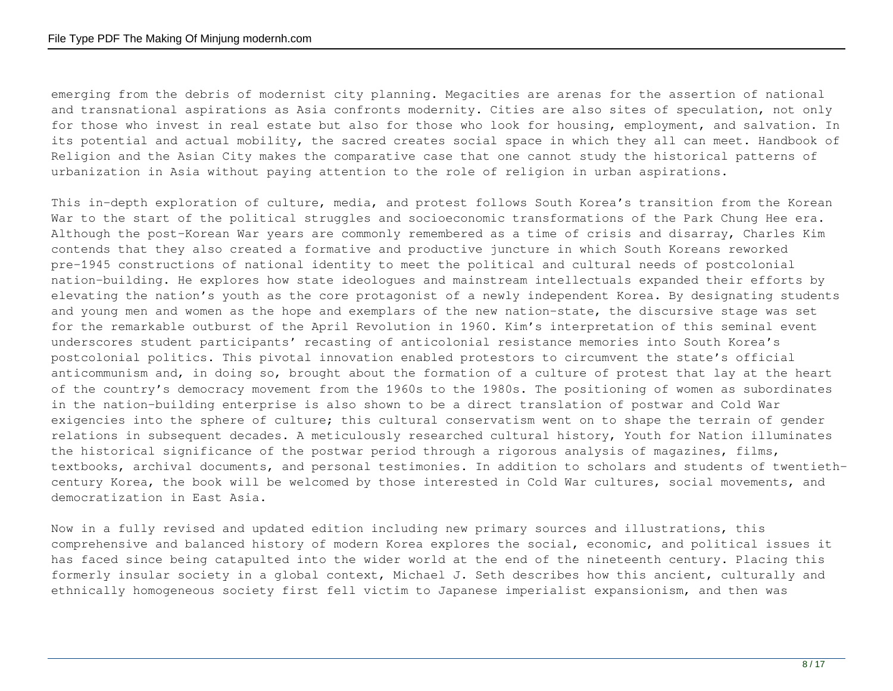emerging from the debris of modernist city planning. Megacities are arenas for the assertion of national and transnational aspirations as Asia confronts modernity. Cities are also sites of speculation, not only for those who invest in real estate but also for those who look for housing, employment, and salvation. In its potential and actual mobility, the sacred creates social space in which they all can meet. Handbook of Religion and the Asian City makes the comparative case that one cannot study the historical patterns of urbanization in Asia without paying attention to the role of religion in urban aspirations.

This in-depth exploration of culture, media, and protest follows South Korea's transition from the Korean War to the start of the political struggles and socioeconomic transformations of the Park Chung Hee era. Although the post–Korean War years are commonly remembered as a time of crisis and disarray, Charles Kim contends that they also created a formative and productive juncture in which South Koreans reworked pre-1945 constructions of national identity to meet the political and cultural needs of postcolonial nation-building. He explores how state ideologues and mainstream intellectuals expanded their efforts by elevating the nation's youth as the core protagonist of a newly independent Korea. By designating students and young men and women as the hope and exemplars of the new nation-state, the discursive stage was set for the remarkable outburst of the April Revolution in 1960. Kim's interpretation of this seminal event underscores student participants' recasting of anticolonial resistance memories into South Korea's postcolonial politics. This pivotal innovation enabled protestors to circumvent the state's official anticommunism and, in doing so, brought about the formation of a culture of protest that lay at the heart of the country's democracy movement from the 1960s to the 1980s. The positioning of women as subordinates in the nation-building enterprise is also shown to be a direct translation of postwar and Cold War exigencies into the sphere of culture; this cultural conservatism went on to shape the terrain of gender relations in subsequent decades. A meticulously researched cultural history, Youth for Nation illuminates the historical significance of the postwar period through a rigorous analysis of magazines, films, textbooks, archival documents, and personal testimonies. In addition to scholars and students of twentiethcentury Korea, the book will be welcomed by those interested in Cold War cultures, social movements, and democratization in East Asia.

Now in a fully revised and updated edition including new primary sources and illustrations, this comprehensive and balanced history of modern Korea explores the social, economic, and political issues it has faced since being catapulted into the wider world at the end of the nineteenth century. Placing this formerly insular society in a global context, Michael J. Seth describes how this ancient, culturally and ethnically homogeneous society first fell victim to Japanese imperialist expansionism, and then was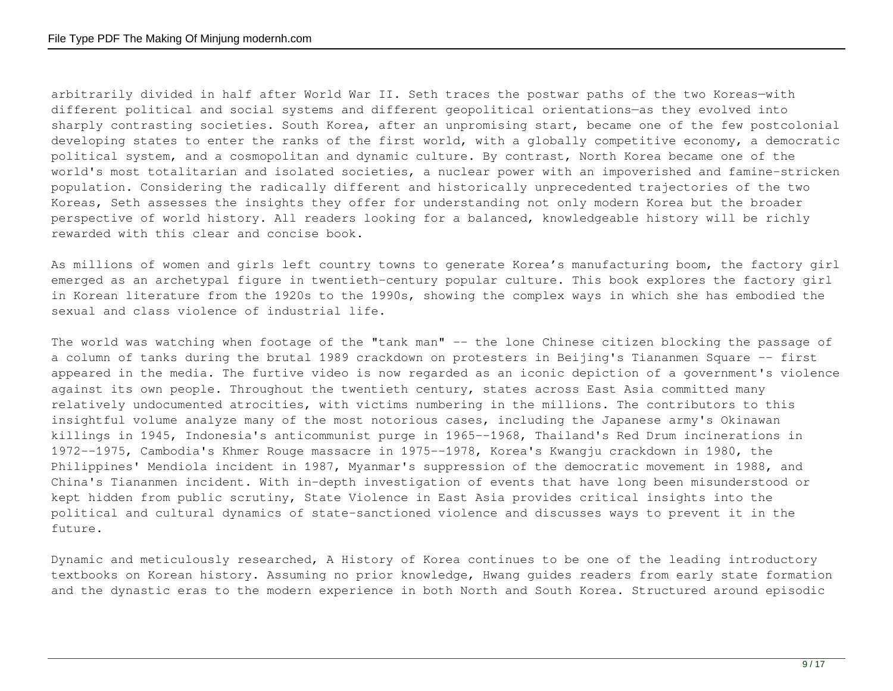arbitrarily divided in half after World War II. Seth traces the postwar paths of the two Koreas—with different political and social systems and different geopolitical orientations—as they evolved into sharply contrasting societies. South Korea, after an unpromising start, became one of the few postcolonial developing states to enter the ranks of the first world, with a globally competitive economy, a democratic political system, and a cosmopolitan and dynamic culture. By contrast, North Korea became one of the world's most totalitarian and isolated societies, a nuclear power with an impoverished and famine-stricken population. Considering the radically different and historically unprecedented trajectories of the two Koreas, Seth assesses the insights they offer for understanding not only modern Korea but the broader perspective of world history. All readers looking for a balanced, knowledgeable history will be richly rewarded with this clear and concise book.

As millions of women and girls left country towns to generate Korea's manufacturing boom, the factory girl emerged as an archetypal figure in twentieth-century popular culture. This book explores the factory girl in Korean literature from the 1920s to the 1990s, showing the complex ways in which she has embodied the sexual and class violence of industrial life.

The world was watching when footage of the "tank man" -- the lone Chinese citizen blocking the passage of a column of tanks during the brutal 1989 crackdown on protesters in Beijing's Tiananmen Square -- first appeared in the media. The furtive video is now regarded as an iconic depiction of a government's violence against its own people. Throughout the twentieth century, states across East Asia committed many relatively undocumented atrocities, with victims numbering in the millions. The contributors to this insightful volume analyze many of the most notorious cases, including the Japanese army's Okinawan killings in 1945, Indonesia's anticommunist purge in 1965--1968, Thailand's Red Drum incinerations in 1972--1975, Cambodia's Khmer Rouge massacre in 1975--1978, Korea's Kwangju crackdown in 1980, the Philippines' Mendiola incident in 1987, Myanmar's suppression of the democratic movement in 1988, and China's Tiananmen incident. With in-depth investigation of events that have long been misunderstood or kept hidden from public scrutiny, State Violence in East Asia provides critical insights into the political and cultural dynamics of state-sanctioned violence and discusses ways to prevent it in the future.

Dynamic and meticulously researched, A History of Korea continues to be one of the leading introductory textbooks on Korean history. Assuming no prior knowledge, Hwang guides readers from early state formation and the dynastic eras to the modern experience in both North and South Korea. Structured around episodic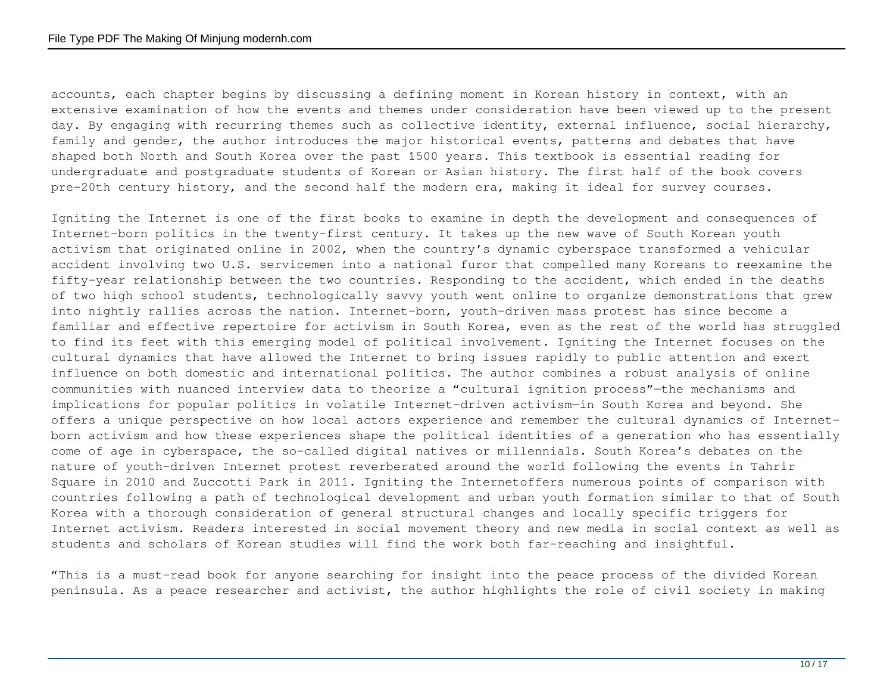accounts, each chapter begins by discussing a defining moment in Korean history in context, with an extensive examination of how the events and themes under consideration have been viewed up to the present day. By engaging with recurring themes such as collective identity, external influence, social hierarchy, family and gender, the author introduces the major historical events, patterns and debates that have shaped both North and South Korea over the past 1500 years. This textbook is essential reading for undergraduate and postgraduate students of Korean or Asian history. The first half of the book covers pre-20th century history, and the second half the modern era, making it ideal for survey courses.

Igniting the Internet is one of the first books to examine in depth the development and consequences of Internet-born politics in the twenty-first century. It takes up the new wave of South Korean youth activism that originated online in 2002, when the country's dynamic cyberspace transformed a vehicular accident involving two U.S. servicemen into a national furor that compelled many Koreans to reexamine the fifty-year relationship between the two countries. Responding to the accident, which ended in the deaths of two high school students, technologically savvy youth went online to organize demonstrations that grew into nightly rallies across the nation. Internet-born, youth-driven mass protest has since become a familiar and effective repertoire for activism in South Korea, even as the rest of the world has struggled to find its feet with this emerging model of political involvement. Igniting the Internet focuses on the cultural dynamics that have allowed the Internet to bring issues rapidly to public attention and exert influence on both domestic and international politics. The author combines a robust analysis of online communities with nuanced interview data to theorize a "cultural ignition process"—the mechanisms and implications for popular politics in volatile Internet-driven activism—in South Korea and beyond. She offers a unique perspective on how local actors experience and remember the cultural dynamics of Internetborn activism and how these experiences shape the political identities of a generation who has essentially come of age in cyberspace, the so-called digital natives or millennials. South Korea's debates on the nature of youth-driven Internet protest reverberated around the world following the events in Tahrir Square in 2010 and Zuccotti Park in 2011. Igniting the Internetoffers numerous points of comparison with countries following a path of technological development and urban youth formation similar to that of South Korea with a thorough consideration of general structural changes and locally specific triggers for Internet activism. Readers interested in social movement theory and new media in social context as well as students and scholars of Korean studies will find the work both far-reaching and insightful.

"This is a must-read book for anyone searching for insight into the peace process of the divided Korean peninsula. As a peace researcher and activist, the author highlights the role of civil society in making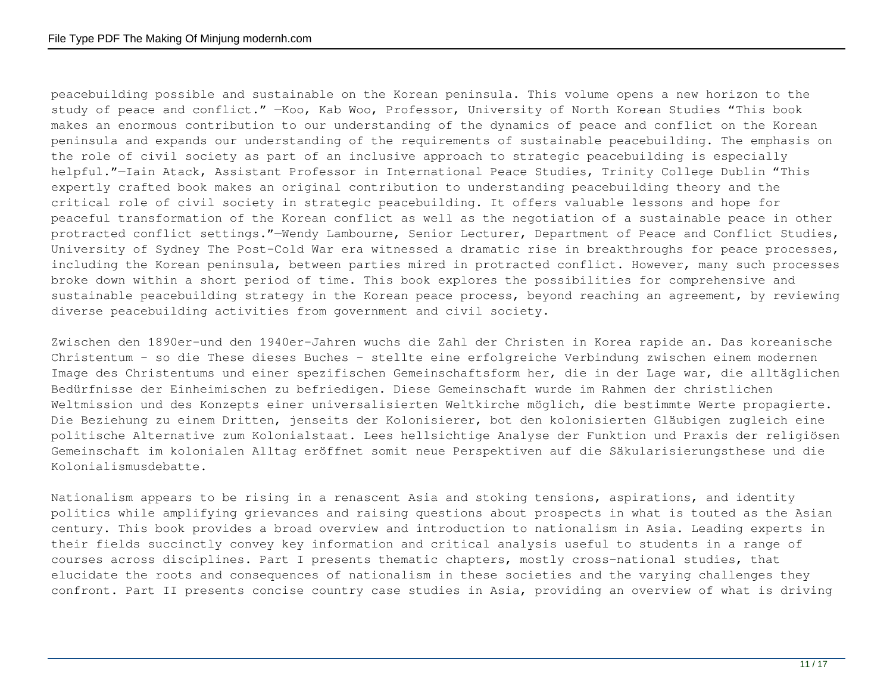peacebuilding possible and sustainable on the Korean peninsula. This volume opens a new horizon to the study of peace and conflict." —Koo, Kab Woo, Professor, University of North Korean Studies "This book makes an enormous contribution to our understanding of the dynamics of peace and conflict on the Korean peninsula and expands our understanding of the requirements of sustainable peacebuilding. The emphasis on the role of civil society as part of an inclusive approach to strategic peacebuilding is especially helpful."—Iain Atack, Assistant Professor in International Peace Studies, Trinity College Dublin "This expertly crafted book makes an original contribution to understanding peacebuilding theory and the critical role of civil society in strategic peacebuilding. It offers valuable lessons and hope for peaceful transformation of the Korean conflict as well as the negotiation of a sustainable peace in other protracted conflict settings."—Wendy Lambourne, Senior Lecturer, Department of Peace and Conflict Studies, University of Sydney The Post-Cold War era witnessed a dramatic rise in breakthroughs for peace processes, including the Korean peninsula, between parties mired in protracted conflict. However, many such processes broke down within a short period of time. This book explores the possibilities for comprehensive and sustainable peacebuilding strategy in the Korean peace process, beyond reaching an agreement, by reviewing diverse peacebuilding activities from government and civil society.

Zwischen den 1890er-und den 1940er-Jahren wuchs die Zahl der Christen in Korea rapide an. Das koreanische Christentum - so die These dieses Buches - stellte eine erfolgreiche Verbindung zwischen einem modernen Image des Christentums und einer spezifischen Gemeinschaftsform her, die in der Lage war, die alltäglichen Bedürfnisse der Einheimischen zu befriedigen. Diese Gemeinschaft wurde im Rahmen der christlichen Weltmission und des Konzepts einer universalisierten Weltkirche möglich, die bestimmte Werte propagierte. Die Beziehung zu einem Dritten, jenseits der Kolonisierer, bot den kolonisierten Gläubigen zugleich eine politische Alternative zum Kolonialstaat. Lees hellsichtige Analyse der Funktion und Praxis der religiösen Gemeinschaft im kolonialen Alltag eröffnet somit neue Perspektiven auf die Säkularisierungsthese und die Kolonialismusdebatte.

Nationalism appears to be rising in a renascent Asia and stoking tensions, aspirations, and identity politics while amplifying grievances and raising questions about prospects in what is touted as the Asian century. This book provides a broad overview and introduction to nationalism in Asia. Leading experts in their fields succinctly convey key information and critical analysis useful to students in a range of courses across disciplines. Part I presents thematic chapters, mostly cross-national studies, that elucidate the roots and consequences of nationalism in these societies and the varying challenges they confront. Part II presents concise country case studies in Asia, providing an overview of what is driving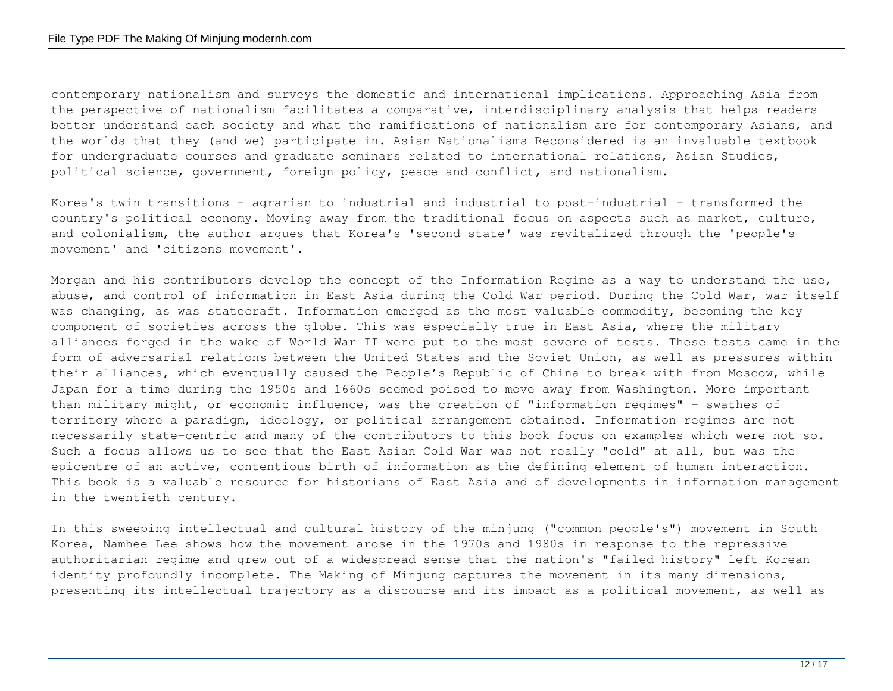contemporary nationalism and surveys the domestic and international implications. Approaching Asia from the perspective of nationalism facilitates a comparative, interdisciplinary analysis that helps readers better understand each society and what the ramifications of nationalism are for contemporary Asians, and the worlds that they (and we) participate in. Asian Nationalisms Reconsidered is an invaluable textbook for undergraduate courses and graduate seminars related to international relations, Asian Studies, political science, government, foreign policy, peace and conflict, and nationalism.

Korea's twin transitions – agrarian to industrial and industrial to post-industrial – transformed the country's political economy. Moving away from the traditional focus on aspects such as market, culture, and colonialism, the author argues that Korea's 'second state' was revitalized through the 'people's movement' and 'citizens movement'.

Morgan and his contributors develop the concept of the Information Regime as a way to understand the use, abuse, and control of information in East Asia during the Cold War period. During the Cold War, war itself was changing, as was statecraft. Information emerged as the most valuable commodity, becoming the key component of societies across the globe. This was especially true in East Asia, where the military alliances forged in the wake of World War II were put to the most severe of tests. These tests came in the form of adversarial relations between the United States and the Soviet Union, as well as pressures within their alliances, which eventually caused the People's Republic of China to break with from Moscow, while Japan for a time during the 1950s and 1660s seemed poised to move away from Washington. More important than military might, or economic influence, was the creation of "information regimes" – swathes of territory where a paradigm, ideology, or political arrangement obtained. Information regimes are not necessarily state-centric and many of the contributors to this book focus on examples which were not so. Such a focus allows us to see that the East Asian Cold War was not really "cold" at all, but was the epicentre of an active, contentious birth of information as the defining element of human interaction. This book is a valuable resource for historians of East Asia and of developments in information management in the twentieth century.

In this sweeping intellectual and cultural history of the minjung ("common people's") movement in South Korea, Namhee Lee shows how the movement arose in the 1970s and 1980s in response to the repressive authoritarian regime and grew out of a widespread sense that the nation's "failed history" left Korean identity profoundly incomplete. The Making of Minjung captures the movement in its many dimensions, presenting its intellectual trajectory as a discourse and its impact as a political movement, as well as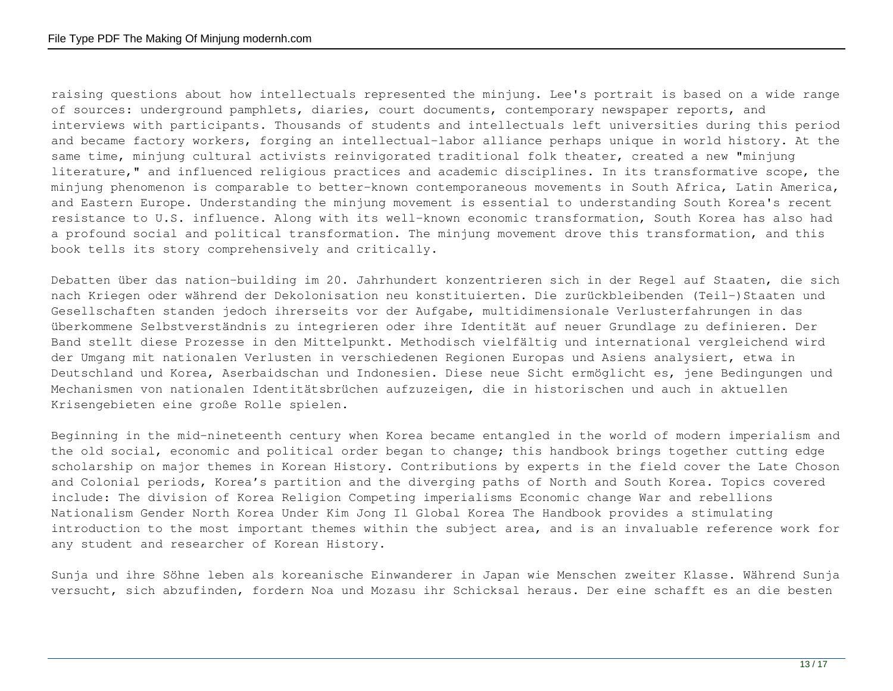raising questions about how intellectuals represented the minjung. Lee's portrait is based on a wide range of sources: underground pamphlets, diaries, court documents, contemporary newspaper reports, and interviews with participants. Thousands of students and intellectuals left universities during this period and became factory workers, forging an intellectual-labor alliance perhaps unique in world history. At the same time, minjung cultural activists reinvigorated traditional folk theater, created a new "minjung literature," and influenced religious practices and academic disciplines. In its transformative scope, the minjung phenomenon is comparable to better-known contemporaneous movements in South Africa, Latin America, and Eastern Europe. Understanding the minjung movement is essential to understanding South Korea's recent resistance to U.S. influence. Along with its well-known economic transformation, South Korea has also had a profound social and political transformation. The minjung movement drove this transformation, and this book tells its story comprehensively and critically.

Debatten über das nation-building im 20. Jahrhundert konzentrieren sich in der Regel auf Staaten, die sich nach Kriegen oder während der Dekolonisation neu konstituierten. Die zurückbleibenden (Teil-)Staaten und Gesellschaften standen jedoch ihrerseits vor der Aufgabe, multidimensionale Verlusterfahrungen in das überkommene Selbstverständnis zu integrieren oder ihre Identität auf neuer Grundlage zu definieren. Der Band stellt diese Prozesse in den Mittelpunkt. Methodisch vielfältig und international vergleichend wird der Umgang mit nationalen Verlusten in verschiedenen Regionen Europas und Asiens analysiert, etwa in Deutschland und Korea, Aserbaidschan und Indonesien. Diese neue Sicht ermöglicht es, jene Bedingungen und Mechanismen von nationalen Identitätsbrüchen aufzuzeigen, die in historischen und auch in aktuellen Krisengebieten eine große Rolle spielen.

Beginning in the mid-nineteenth century when Korea became entangled in the world of modern imperialism and the old social, economic and political order began to change; this handbook brings together cutting edge scholarship on major themes in Korean History. Contributions by experts in the field cover the Late Choson and Colonial periods, Korea's partition and the diverging paths of North and South Korea. Topics covered include: The division of Korea Religion Competing imperialisms Economic change War and rebellions Nationalism Gender North Korea Under Kim Jong Il Global Korea The Handbook provides a stimulating introduction to the most important themes within the subject area, and is an invaluable reference work for any student and researcher of Korean History.

Sunja und ihre Söhne leben als koreanische Einwanderer in Japan wie Menschen zweiter Klasse. Während Sunja versucht, sich abzufinden, fordern Noa und Mozasu ihr Schicksal heraus. Der eine schafft es an die besten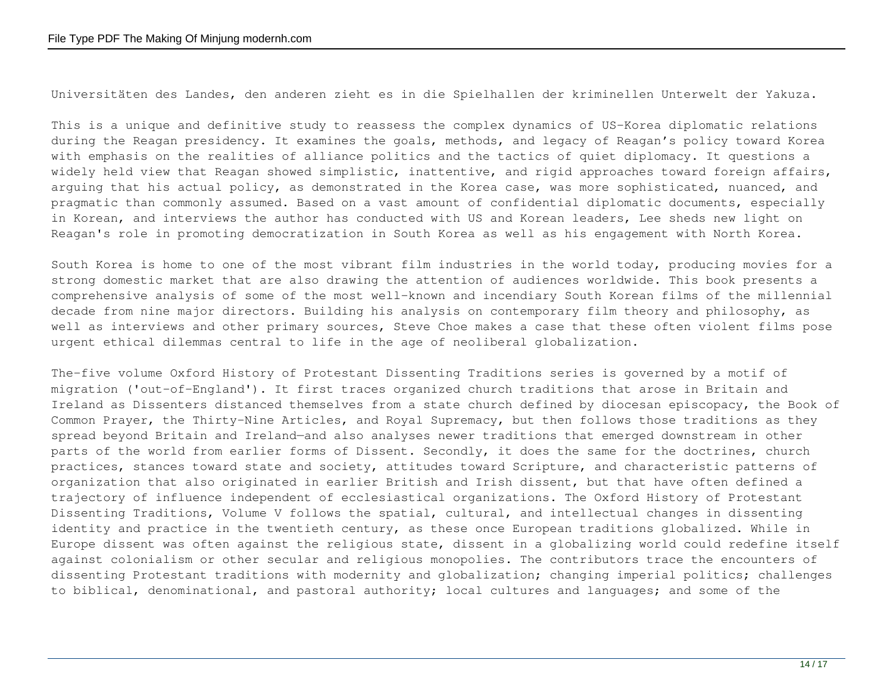Universitäten des Landes, den anderen zieht es in die Spielhallen der kriminellen Unterwelt der Yakuza.

This is a unique and definitive study to reassess the complex dynamics of US-Korea diplomatic relations during the Reagan presidency. It examines the goals, methods, and legacy of Reagan's policy toward Korea with emphasis on the realities of alliance politics and the tactics of quiet diplomacy. It questions a widely held view that Reagan showed simplistic, inattentive, and rigid approaches toward foreign affairs, arguing that his actual policy, as demonstrated in the Korea case, was more sophisticated, nuanced, and pragmatic than commonly assumed. Based on a vast amount of confidential diplomatic documents, especially in Korean, and interviews the author has conducted with US and Korean leaders, Lee sheds new light on Reagan's role in promoting democratization in South Korea as well as his engagement with North Korea.

South Korea is home to one of the most vibrant film industries in the world today, producing movies for a strong domestic market that are also drawing the attention of audiences worldwide. This book presents a comprehensive analysis of some of the most well-known and incendiary South Korean films of the millennial decade from nine major directors. Building his analysis on contemporary film theory and philosophy, as well as interviews and other primary sources, Steve Choe makes a case that these often violent films pose urgent ethical dilemmas central to life in the age of neoliberal globalization.

The-five volume Oxford History of Protestant Dissenting Traditions series is governed by a motif of migration ('out-of-England'). It first traces organized church traditions that arose in Britain and Ireland as Dissenters distanced themselves from a state church defined by diocesan episcopacy, the Book of Common Prayer, the Thirty-Nine Articles, and Royal Supremacy, but then follows those traditions as they spread beyond Britain and Ireland—and also analyses newer traditions that emerged downstream in other parts of the world from earlier forms of Dissent. Secondly, it does the same for the doctrines, church practices, stances toward state and society, attitudes toward Scripture, and characteristic patterns of organization that also originated in earlier British and Irish dissent, but that have often defined a trajectory of influence independent of ecclesiastical organizations. The Oxford History of Protestant Dissenting Traditions, Volume V follows the spatial, cultural, and intellectual changes in dissenting identity and practice in the twentieth century, as these once European traditions globalized. While in Europe dissent was often against the religious state, dissent in a globalizing world could redefine itself against colonialism or other secular and religious monopolies. The contributors trace the encounters of dissenting Protestant traditions with modernity and globalization; changing imperial politics; challenges to biblical, denominational, and pastoral authority; local cultures and languages; and some of the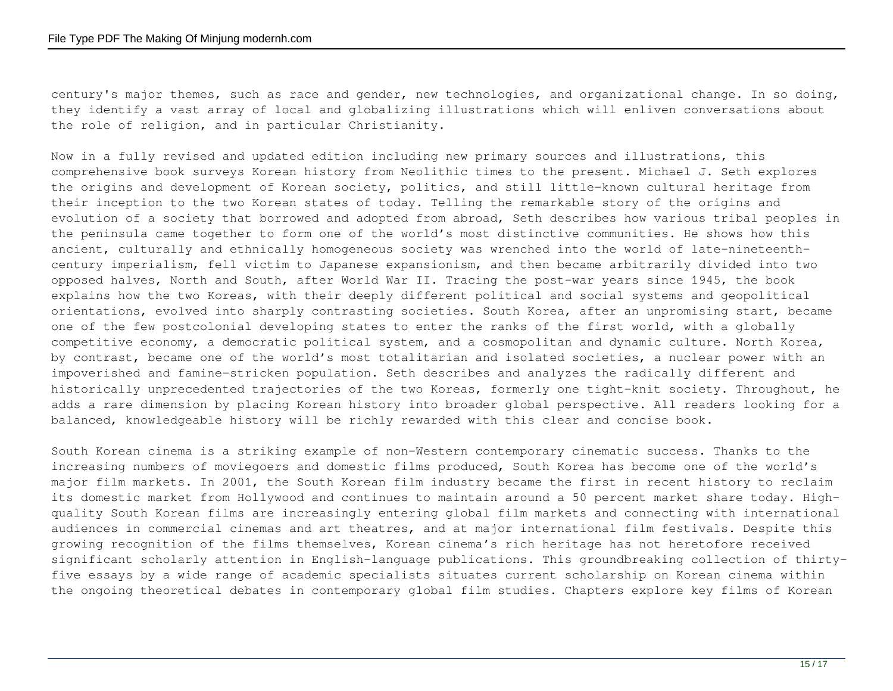century's major themes, such as race and gender, new technologies, and organizational change. In so doing, they identify a vast array of local and globalizing illustrations which will enliven conversations about the role of religion, and in particular Christianity.

Now in a fully revised and updated edition including new primary sources and illustrations, this comprehensive book surveys Korean history from Neolithic times to the present. Michael J. Seth explores the origins and development of Korean society, politics, and still little-known cultural heritage from their inception to the two Korean states of today. Telling the remarkable story of the origins and evolution of a society that borrowed and adopted from abroad, Seth describes how various tribal peoples in the peninsula came together to form one of the world's most distinctive communities. He shows how this ancient, culturally and ethnically homogeneous society was wrenched into the world of late-nineteenthcentury imperialism, fell victim to Japanese expansionism, and then became arbitrarily divided into two opposed halves, North and South, after World War II. Tracing the post-war years since 1945, the book explains how the two Koreas, with their deeply different political and social systems and geopolitical orientations, evolved into sharply contrasting societies. South Korea, after an unpromising start, became one of the few postcolonial developing states to enter the ranks of the first world, with a globally competitive economy, a democratic political system, and a cosmopolitan and dynamic culture. North Korea, by contrast, became one of the world's most totalitarian and isolated societies, a nuclear power with an impoverished and famine-stricken population. Seth describes and analyzes the radically different and historically unprecedented trajectories of the two Koreas, formerly one tight-knit society. Throughout, he adds a rare dimension by placing Korean history into broader global perspective. All readers looking for a balanced, knowledgeable history will be richly rewarded with this clear and concise book.

South Korean cinema is a striking example of non-Western contemporary cinematic success. Thanks to the increasing numbers of moviegoers and domestic films produced, South Korea has become one of the world's major film markets. In 2001, the South Korean film industry became the first in recent history to reclaim its domestic market from Hollywood and continues to maintain around a 50 percent market share today. Highquality South Korean films are increasingly entering global film markets and connecting with international audiences in commercial cinemas and art theatres, and at major international film festivals. Despite this growing recognition of the films themselves, Korean cinema's rich heritage has not heretofore received significant scholarly attention in English-language publications. This groundbreaking collection of thirtyfive essays by a wide range of academic specialists situates current scholarship on Korean cinema within the ongoing theoretical debates in contemporary global film studies. Chapters explore key films of Korean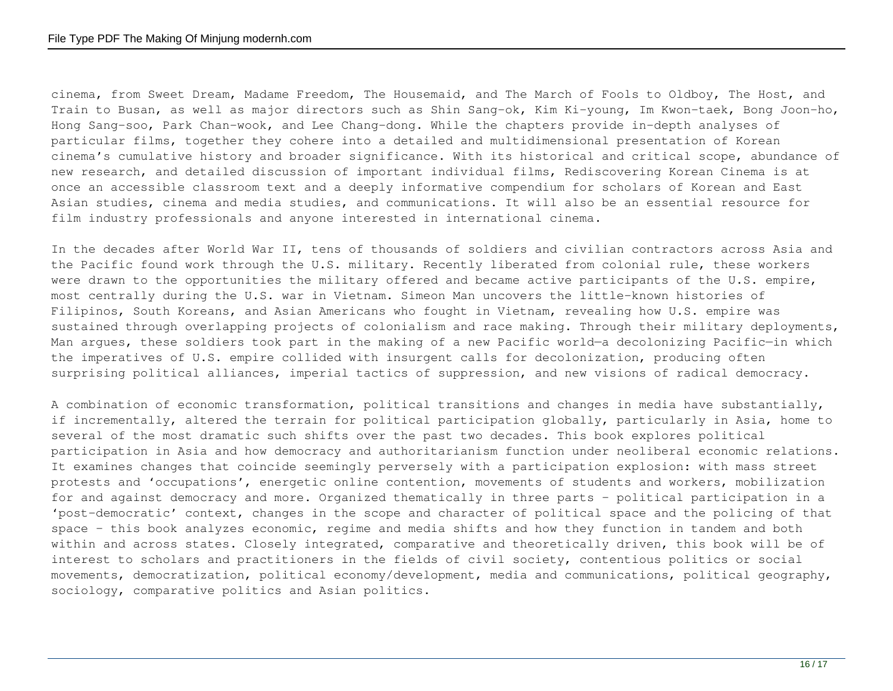cinema, from Sweet Dream, Madame Freedom, The Housemaid, and The March of Fools to Oldboy, The Host, and Train to Busan, as well as major directors such as Shin Sang-ok, Kim Ki-young, Im Kwon-taek, Bong Joon-ho, Hong Sang-soo, Park Chan-wook, and Lee Chang-dong. While the chapters provide in-depth analyses of particular films, together they cohere into a detailed and multidimensional presentation of Korean cinema's cumulative history and broader significance. With its historical and critical scope, abundance of new research, and detailed discussion of important individual films, Rediscovering Korean Cinema is at once an accessible classroom text and a deeply informative compendium for scholars of Korean and East Asian studies, cinema and media studies, and communications. It will also be an essential resource for film industry professionals and anyone interested in international cinema.

In the decades after World War II, tens of thousands of soldiers and civilian contractors across Asia and the Pacific found work through the U.S. military. Recently liberated from colonial rule, these workers were drawn to the opportunities the military offered and became active participants of the U.S. empire, most centrally during the U.S. war in Vietnam. Simeon Man uncovers the little-known histories of Filipinos, South Koreans, and Asian Americans who fought in Vietnam, revealing how U.S. empire was sustained through overlapping projects of colonialism and race making. Through their military deployments, Man argues, these soldiers took part in the making of a new Pacific world—a decolonizing Pacific—in which the imperatives of U.S. empire collided with insurgent calls for decolonization, producing often surprising political alliances, imperial tactics of suppression, and new visions of radical democracy.

A combination of economic transformation, political transitions and changes in media have substantially, if incrementally, altered the terrain for political participation globally, particularly in Asia, home to several of the most dramatic such shifts over the past two decades. This book explores political participation in Asia and how democracy and authoritarianism function under neoliberal economic relations. It examines changes that coincide seemingly perversely with a participation explosion: with mass street protests and 'occupations', energetic online contention, movements of students and workers, mobilization for and against democracy and more. Organized thematically in three parts – political participation in a 'post-democratic' context, changes in the scope and character of political space and the policing of that space – this book analyzes economic, regime and media shifts and how they function in tandem and both within and across states. Closely integrated, comparative and theoretically driven, this book will be of interest to scholars and practitioners in the fields of civil society, contentious politics or social movements, democratization, political economy/development, media and communications, political geography, sociology, comparative politics and Asian politics.